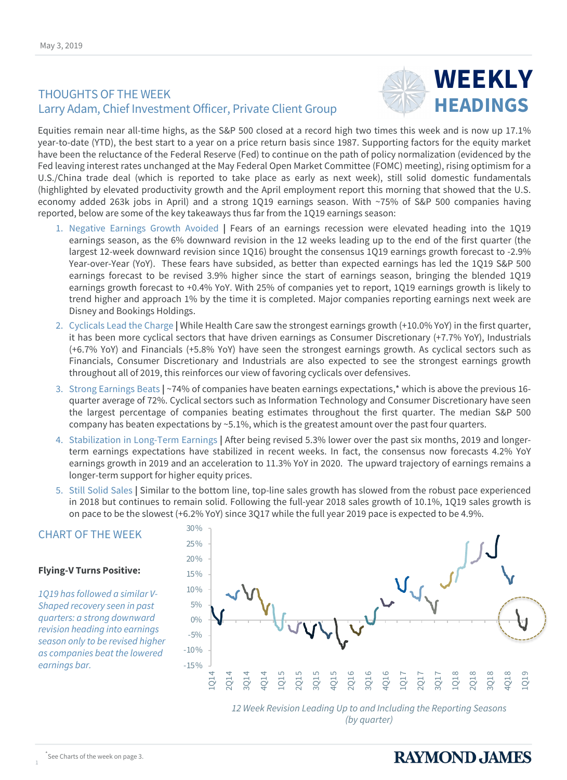## THOUGHTS OF THE WEEK Larry Adam, Chief Investment Officer, Private Client Group



Equities remain near all-time highs, as the S&P 500 closed at a record high two times this week and is now up 17.1% year-to-date (YTD), the best start to a year on a price return basis since 1987. Supporting factors for the equity market have been the reluctance of the Federal Reserve (Fed) to continue on the path of policy normalization (evidenced by the Fed leaving interest rates unchanged at the May Federal Open Market Committee (FOMC) meeting), rising optimism for a U.S./China trade deal (which is reported to take place as early as next week), still solid domestic fundamentals (highlighted by elevated productivity growth and the April employment report this morning that showed that the U.S. economy added 263k jobs in April) and a strong 1Q19 earnings season. With ~75% of S&P 500 companies having reported, below are some of the key takeaways thus far from the 1Q19 earnings season:

- 1. Negative Earnings Growth Avoided **|** Fears of an earnings recession were elevated heading into the 1Q19 earnings season, as the 6% downward revision in the 12 weeks leading up to the end of the first quarter (the largest 12-week downward revision since 1Q16) brought the consensus 1Q19 earnings growth forecast to -2.9% Year-over-Year (YoY). These fears have subsided, as better than expected earnings has led the 1Q19 S&P 500 earnings forecast to be revised 3.9% higher since the start of earnings season, bringing the blended 1Q19 earnings growth forecast to +0.4% YoY. With 25% of companies yet to report, 1Q19 earnings growth is likely to trend higher and approach 1% by the time it is completed. Major companies reporting earnings next week are Disney and Bookings Holdings.
- 2. Cyclicals Lead the Charge **|** While Health Care saw the strongest earnings growth (+10.0% YoY) in the first quarter, it has been more cyclical sectors that have driven earnings as Consumer Discretionary (+7.7% YoY), Industrials (+6.7% YoY) and Financials (+5.8% YoY) have seen the strongest earnings growth. As cyclical sectors such as Financials, Consumer Discretionary and Industrials are also expected to see the strongest earnings growth throughout all of 2019, this reinforces our view of favoring cyclicals over defensives.
- 3. Strong Earnings Beats **|** ~74% of companies have beaten earnings expectations,\* which is above the previous 16 quarter average of 72%. Cyclical sectors such as Information Technology and Consumer Discretionary have seen the largest percentage of companies beating estimates throughout the first quarter. The median S&P 500 company has beaten expectations by  $\sim$  5.1%, which is the greatest amount over the past four quarters.
- 4. Stabilization in Long-Term Earnings **|** After being revised 5.3% lower over the past six months, 2019 and longerterm earnings expectations have stabilized in recent weeks. In fact, the consensus now forecasts 4.2% YoY earnings growth in 2019 and an acceleration to 11.3% YoY in 2020. The upward trajectory of earnings remains a longer-term support for higher equity prices.
- 5. Still Solid Sales **|** Similar to the bottom line, top-line sales growth has slowed from the robust pace experienced in 2018 but continues to remain solid. Following the full-year 2018 sales growth of 10.1%, 1Q19 sales growth is on pace to be the slowest (+6.2% YoY) since 3Q17 while the full year 2019 pace is expected to be 4.9%.

## CHART OF THE WEEK

### **Flying-V Turns Positive:**

*1Q19 has followed a similar V-Shaped recovery seen in past quarters: a strong downward revision heading into earnings season only to be revised higher as companies beat the lowered earnings bar.*



*(by quarter)*

1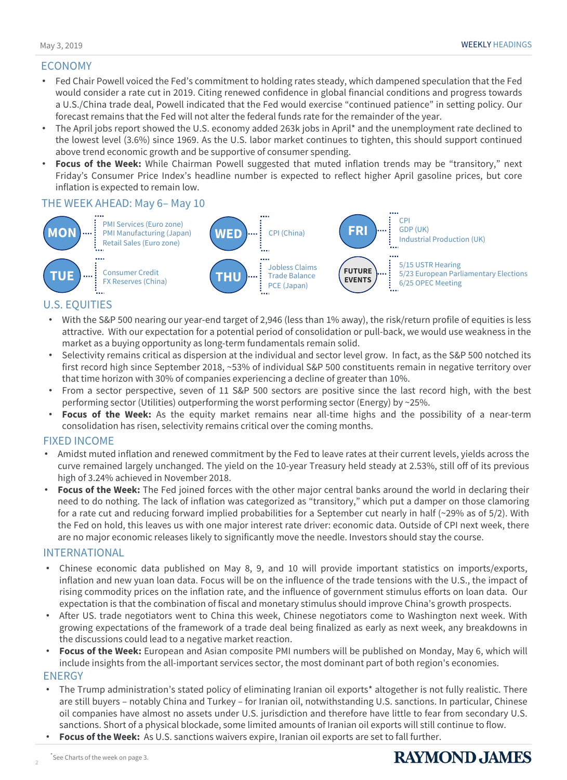## ECONOMY

- Fed Chair Powell voiced the Fed's commitment to holding rates steady, which dampened speculation that the Fed would consider a rate cut in 2019. Citing renewed confidence in global financial conditions and progress towards a U.S./China trade deal, Powell indicated that the Fed would exercise "continued patience" in setting policy. Our forecast remains that the Fed will not alter the federal funds rate for the remainder of the year.
- The April jobs report showed the U.S. economy added 263k jobs in April\* and the unemployment rate declined to the lowest level (3.6%) since 1969. As the U.S. labor market continues to tighten, this should support continued above trend economic growth and be supportive of consumer spending.
- **Focus of the Week:** While Chairman Powell suggested that muted inflation trends may be "transitory," next Friday's Consumer Price Index's headline number is expected to reflect higher April gasoline prices, but core inflation is expected to remain low.

## THE WEEK AHEAD: May 6– May 10



## U.S. EQUITIES

- With the S&P 500 nearing our year-end target of 2,946 (less than 1% away), the risk/return profile of equities is less attractive. With our expectation for a potential period of consolidation or pull-back, we would use weakness in the market as a buying opportunity as long-term fundamentals remain solid.
- Selectivity remains critical as dispersion at the individual and sector level grow. In fact, as the S&P 500 notched its first record high since September 2018, ~53% of individual S&P 500 constituents remain in negative territory over that time horizon with 30% of companies experiencing a decline of greater than 10%.
- From a sector perspective, seven of 11 S&P 500 sectors are positive since the last record high, with the best performing sector (Utilities) outperforming the worst performing sector (Energy) by ~25%.
- **Focus of the Week:** As the equity market remains near all-time highs and the possibility of a near-term consolidation has risen, selectivity remains critical over the coming months.

## FIXED INCOME

- Amidst muted inflation and renewed commitment by the Fed to leave rates at their current levels, yields across the curve remained largely unchanged. The yield on the 10-year Treasury held steady at 2.53%, still off of its previous high of 3.24% achieved in November 2018.
- **Focus of the Week:** The Fed joined forces with the other major central banks around the world in declaring their need to do nothing. The lack of inflation was categorized as "transitory," which put a damper on those clamoring for a rate cut and reducing forward implied probabilities for a September cut nearly in half (~29% as of 5/2). With the Fed on hold, this leaves us with one major interest rate driver: economic data. Outside of CPI next week, there are no major economic releases likely to significantly move the needle. Investors should stay the course.

## INTERNATIONAL

- Chinese economic data published on May 8, 9, and 10 will provide important statistics on imports/exports, inflation and new yuan loan data. Focus will be on the influence of the trade tensions with the U.S., the impact of rising commodity prices on the inflation rate, and the influence of government stimulus efforts on loan data. Our expectation is that the combination of fiscal and monetary stimulus should improve China's growth prospects.
- After US. trade negotiators went to China this week, Chinese negotiators come to Washington next week. With growing expectations of the framework of a trade deal being finalized as early as next week, any breakdowns in the discussions could lead to a negative market reaction.
- **Focus of the Week:** European and Asian composite PMI numbers will be published on Monday, May 6, which will include insights from the all-important services sector, the most dominant part of both region's economies. ENERGY

## • The Trump administration's stated policy of eliminating Iranian oil exports\* altogether is not fully realistic. There are still buyers – notably China and Turkey – for Iranian oil, notwithstanding U.S. sanctions. In particular, Chinese oil companies have almost no assets under U.S. jurisdiction and therefore have little to fear from secondary U.S. sanctions. Short of a physical blockade, some limited amounts of Iranian oil exports will still continue to flow.

• **Focus of the Week:** As U.S. sanctions waivers expire, Iranian oil exports are set to fall further.

2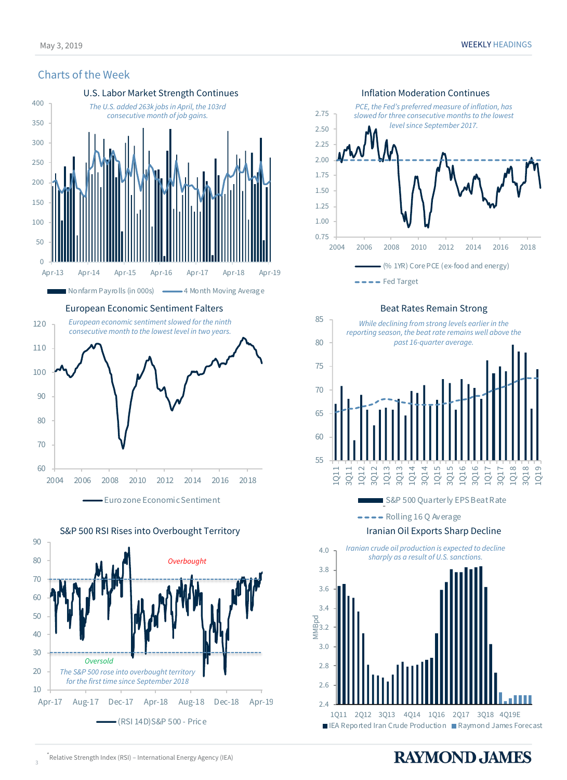### Charts of the Week





2004 2006 2008 2010 2012 2014 2016 2018





#### Beat Rates Remain Strong



#### Iranian Oil Exports Sharp Decline



3

60

70

80

90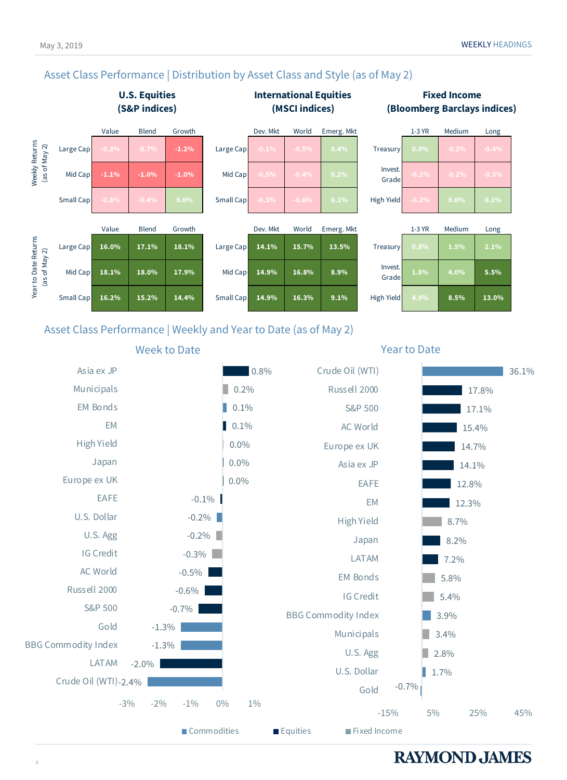

## Asset Class Performance | Distribution by Asset Class and Style (as of May 2)

## Asset Class Performance | Weekly and Year to Date (as of May 2)

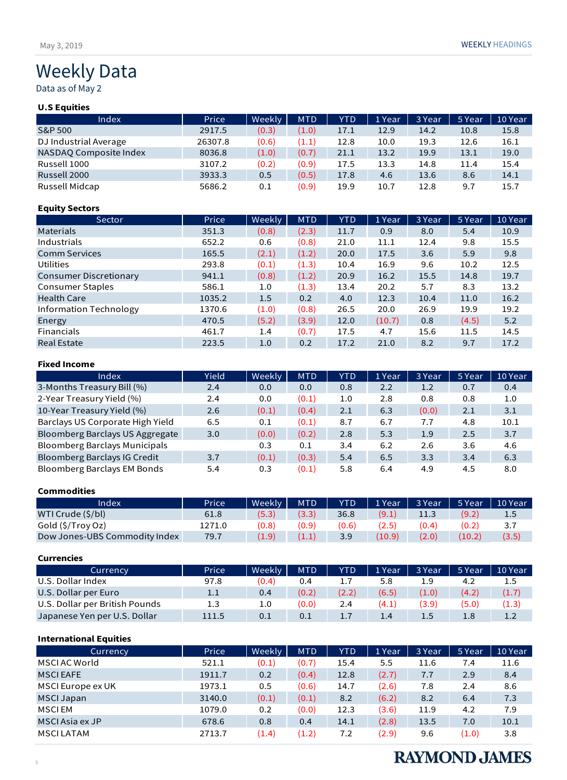### May 3, 2019 WEEKLY HEADINGS

## Weekly Data Data as of May 2

### **U.S Equities**

| Index                  | Price   | Weekly | <b>MTD</b> | <b>YTD</b> | 1 Year | 3 Year | 5 Year | 10 Year |
|------------------------|---------|--------|------------|------------|--------|--------|--------|---------|
| S&P 500                | 2917.5  | (0.3)  | (1.0)      | 17.1       | 12.9   | 14.2   | 10.8   | 15.8    |
| DJ Industrial Average  | 26307.8 | (0.6)  | (1.1)      | 12.8       | 10.0   | 19.3   | 12.6   | 16.1    |
| NASDAQ Composite Index | 8036.8  | (1.0)  | (0.7)      | 21.1       | 13.2   | 19.9   | 13.1   | 19.0    |
| Russell 1000           | 3107.2  | (0.2)  | (0.9)      | 17.5       | 13.3   | 14.8   | 11.4   | 15.4    |
| Russell 2000           | 3933.3  | 0.5    | (0.5)      | 17.8       | 4.6    | 13.6   | 8.6    | 14.1    |
| Russell Midcap         | 5686.2  | 0.1    | (0.9)      | 19.9       | 10.7   | 12.8   | 9.7    | 15.7    |

### **Equity Sectors:**

| Sector                        | Price  | Weekly | <b>MTD</b> | <b>YTD</b> | 1 Year | 3 Year | 5 Year | 10 Year |
|-------------------------------|--------|--------|------------|------------|--------|--------|--------|---------|
| <b>Materials</b>              | 351.3  | (0.8)  | (2.3)      | 11.7       | 0.9    | 8.0    | 5.4    | 10.9    |
| Industrials                   | 652.2  | 0.6    | (0.8)      | 21.0       | 11.1   | 12.4   | 9.8    | 15.5    |
| <b>Comm Services</b>          | 165.5  | (2.1)  | (1.2)      | 20.0       | 17.5   | 3.6    | 5.9    | 9.8     |
| <b>Utilities</b>              | 293.8  | (0.1)  | (1.3)      | 10.4       | 16.9   | 9.6    | 10.2   | 12.5    |
| <b>Consumer Discretionary</b> | 941.1  | (0.8)  | (1.2)      | 20.9       | 16.2   | 15.5   | 14.8   | 19.7    |
| <b>Consumer Staples</b>       | 586.1  | 1.0    | (1.3)      | 13.4       | 20.2   | 5.7    | 8.3    | 13.2    |
| <b>Health Care</b>            | 1035.2 | 1.5    | 0.2        | 4.0        | 12.3   | 10.4   | 11.0   | 16.2    |
| Information Technology        | 1370.6 | (1.0)  | (0.8)      | 26.5       | 20.0   | 26.9   | 19.9   | 19.2    |
| Energy                        | 470.5  | (5.2)  | (3.9)      | 12.0       | (10.7) | 0.8    | (4.5)  | 5.2     |
| <b>Financials</b>             | 461.7  | 1.4    | (0.7)      | 17.5       | 4.7    | 15.6   | 11.5   | 14.5    |
| <b>Real Estate</b>            | 223.5  | 1.0    | 0.2        | 17.2       | 21.0   | 8.2    | 9.7    | 17.2    |

### **Fixed Income**

| <b>Index</b>                         | <b>Yield</b> | Weekly | <b>MTD</b> | <b>YTD</b> | 1 Year | 3 Year | 5 Year | 10 Year |
|--------------------------------------|--------------|--------|------------|------------|--------|--------|--------|---------|
| 3-Months Treasury Bill (%)           | 2.4          | 0.0    | 0.0        | 0.8        | 2.2    | 1.2    | 0.7    | 0.4     |
| 2-Year Treasury Yield (%)            | 2.4          | 0.0    | (0.1)      | 1.0        | 2.8    | 0.8    | 0.8    | 1.0     |
| 10-Year Treasury Yield (%)           | 2.6          | (0.1)  | (0.4)      | 2.1        | 6.3    | (0.0)  | 2.1    | 3.1     |
| Barclays US Corporate High Yield     | 6.5          | 0.1    | (0.1)      | 8.7        | 6.7    | 7.7    | 4.8    | 10.1    |
| Bloomberg Barclays US Aggregate      | 3.0          | (0.0)  | (0.2)      | 2.8        | 5.3    | 1.9    | 2.5    | 3.7     |
| <b>Bloomberg Barclays Municipals</b> |              | 0.3    | 0.1        | 3.4        | 6.2    | 2.6    | 3.6    | 4.6     |
| Bloomberg Barclays IG Credit         | 3.7          | (0.1)  | (0.3)      | 5.4        | 6.5    | 3.3    | 3.4    | 6.3     |
| <b>Bloomberg Barclays EM Bonds</b>   | 5.4          | 0.3    | (0.1)      | 5.8        | 6.4    | 4.9    | 4.5    | 8.0     |

#### **Commodities**

| Index                         | Price  | Weekly | <b>MTD</b> | <b>YTD</b> | 1 Year | 3 Year | 5 Year | 10 Year |
|-------------------------------|--------|--------|------------|------------|--------|--------|--------|---------|
| WTI Crude (\$/bl)             | 61.8   | (5.3)  | (3.3)      | 36.8       | (9.1)  | 11.3   | (9.2)  | 1.5     |
| Gold (\$/Troy Oz)             | 1271.0 | (0.8)  | (0.9)      | (0.6)      | (2.5)  | (0.4)  | (0.2)  | 3.7     |
| Dow Jones-UBS Commodity Index | 79.7   | (1.9)  |            | 3.9        | (10.9) | (2.0)  | (10.2) | (3.5)   |

### **Currencies**

| Currency                       | Price   | Weekly | <b>MTD</b> | <b>YTD</b> | 1 Year | 3 Year | 5 Year           | 10 Year |
|--------------------------------|---------|--------|------------|------------|--------|--------|------------------|---------|
| U.S. Dollar Index              | 97.8    | (0.4)  | 0.4        |            | 5.8    |        | 4.2              | 1.5     |
| U.S. Dollar per Euro           | $1.1\,$ | 0.4    | (0.2)      | (2.2)      | (6.5)  | (1.0)  | (4.2)            | (1.7)   |
| U.S. Dollar per British Pounds | 1.3     | 1.0    | (0.0)      | 2.4        | (4.1)  | (3.9)  | (5.0)            | (1.3)   |
| Japanese Yen per U.S. Dollar   | 111.5   | 0.1    | 0.1        | 1.7        | 1.4    | 1.5    | 1.8 <sup>°</sup> | 1.2     |

### **International Equities**

| Currency          | Price  | Weekly | <b>MTD</b> | <b>YTD</b> | 1 Year | 3 Year | 5 Year | 10 Year |
|-------------------|--------|--------|------------|------------|--------|--------|--------|---------|
| MSCI AC World     | 521.1  | (0.1)  | (0.7)      | 15.4       | 5.5    | 11.6   | 7.4    | 11.6    |
| <b>MSCIEAFE</b>   | 1911.7 | 0.2    | (0.4)      | 12.8       | (2.7)  | 7.7    | 2.9    | 8.4     |
| MSCI Europe ex UK | 1973.1 | 0.5    | (0.6)      | 14.7       | (2.6)  | 7.8    | 2.4    | 8.6     |
| <b>MSCI Japan</b> | 3140.0 | (0.1)  | (0.1)      | 8.2        | (6.2)  | 8.2    | 6.4    | 7.3     |
| <b>MSCIEM</b>     | 1079.0 | 0.2    | (0.0)      | 12.3       | (3.6)  | 11.9   | 4.2    | 7.9     |
| MSCI Asia ex JP   | 678.6  | 0.8    | 0.4        | 14.1       | (2.8)  | 13.5   | 7.0    | 10.1    |
| <b>MSCILATAM</b>  | 2713.7 | (1.4)  | (1.2)      | 7.2        | (2.9)  | 9.6    | (1.0)  | 3.8     |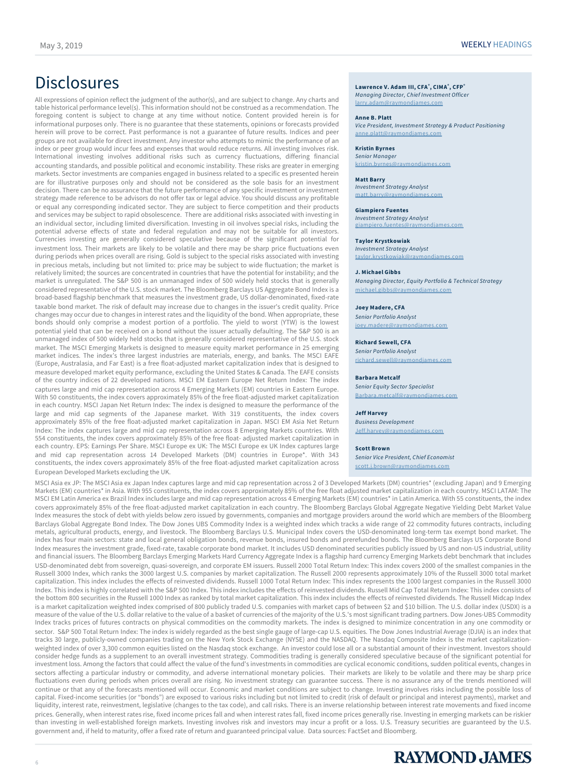## **Disclosures**

All expressions of opinion reflect the judgment of the author(s), and are subject to change. Any charts and table historical performance level(s). This information should not be construed as a recommendation. The foregoing content is subject to change at any time without notice. Content provided herein is for informational purposes only. There is no guarantee that these statements, opinions or forecasts provided herein will prove to be correct. Past performance is not a guarantee of future results. Indices and peer groups are not available for direct investment. Any investor who attempts to mimic the performance of an index or peer group would incur fees and expenses that would reduce returns. All investing involves risk. International investing involves additional risks such as currency fluctuations, differing financial accounting standards, and possible political and economic instability. These risks are greater in emerging markets. Sector investments are companies engaged in business related to a specific es presented herein are for illustrative purposes only and should not be considered as the sole basis for an investment decision. There can be no assurance that the future performance of any specific investment or investment strategy made reference to be advisors do not offer tax or legal advice. You should discuss any profitable or equal any corresponding indicated sector. They are subject to fierce competition and their products and services may be subject to rapid obsolescence. There are additional risks associated with investing in an individual sector, including limited diversification. Investing in oil involves special risks, including the potential adverse effects of state and federal regulation and may not be suitable for all investors. Currencies investing are generally considered speculative because of the significant potential for investment loss. Their markets are likely to be volatile and there may be sharp price fluctuations even during periods when prices overall are rising. Gold is subject to the special risks associated with investing in precious metals, including but not limited to: price may be subject to wide fluctuation; the market is relatively limited; the sources are concentrated in countries that have the potential for instability; and the market is unregulated. The S&P 500 is an unmanaged index of 500 widely held stocks that is generally considered representative of the U.S. stock market. The Bloomberg Barclays US Aggregate Bond Index is a broad-based flagship benchmark that measures the investment grade, US dollar-denominated, fixed-rate taxable bond market. The risk of default may increase due to changes in the issuer's credit quality. Price changes may occur due to changes in interest rates and the liquidity of the bond. When appropriate, these bonds should only comprise a modest portion of a portfolio. The yield to worst (YTW) is the lowest potential yield that can be received on a bond without the issuer actually defaulting. The S&P 500 is an unmanaged index of 500 widely held stocks that is generally considered representative of the U.S. stock market. The MSCI Emerging Markets is designed to measure equity market performance in 25 emerging market indices. The index's three largest industries are materials, energy, and banks. The MSCI EAFE (Europe, Australasia, and Far East) is a free float-adjusted market capitalization index that is designed to measure developed market equity performance, excluding the United States & Canada. The EAFE consists of the country indices of 22 developed nations. MSCI EM Eastern Europe Net Return Index: The index captures large and mid cap representation across 4 Emerging Markets (EM) countries in Eastern Europe. With 50 constituents, the index covers approximately 85% of the free float-adjusted market capitalization in each country. MSCI Japan Net Return Index: The index is designed to measure the performance of the large and mid cap segments of the Japanese market. With 319 constituents, the index covers approximately 85% of the free float-adjusted market capitalization in Japan. MSCI EM Asia Net Return Index: The index captures large and mid cap representation across 8 Emerging Markets countries. With 554 constituents, the index covers approximately 85% of the free float- adjusted market capitalization in each country. EPS: Earnings Per Share. MSCI Europe ex UK: The MSCI Europe ex UK Index captures large and mid cap representation across 14 Developed Markets (DM) countries in Europe\*. With 343 constituents, the index covers approximately 85% of the free float-adjusted market capitalization across European Developed Markets excluding the UK.

#### **, CIMA® , CFP®**

*Managing Director, Chief Investment Officer* larry.adam@raymondiames.com

#### **Anne B. Platt**

*Vice President, Investment Strategy & Product Positioning* ane.platt@

#### **Kristin Byrnes**

*Senior Manager* kristin.byrnes@raymondjames.com

#### **Matt Barry**

*Investment Strategy Analyst* [matt.barry@raymondjames.com](mailto:matt.barry@raymondjames.com)

#### **Giampiero Fuentes**

*Investment Strategy Analyst* giampiero.fue

#### **Taylor Krystkowiak**

*Investment Strategy Analyst* [taylor.krystkowiak@raymondjames.com](mailto:taylor.krystkowiak@raymondjames.com)

#### **J. Michael Gibbs**

*Managing Director, Equity Portfolio & Technical Strategy* [michael.gibbs@raymondjames.com](mailto:michael.gibbs@raymondjames.com)

#### **Joey Madere, CFA**

*Senior Portfolio Analyst* [joey.madere@raymondjames.com](mailto:joey.madere@raymondjames.com)

#### **Richard Sewell, CFA**

*Senior Portfolio Analyst* [richard.sewell@raymondjames.com](mailto:richard.sewell@raymondjames.com)

#### **Barbara Metcalf**

*Senior Equity Sector Specialist* [Barbara.metcalf@raymondjames.com](mailto:Barbara.metcalf@raymondjames.com)

#### **Jeff Harvey**

*Business Development* Jeff.harvey@raymondjames.com

#### **Scott Brown**

*Senior Vice President, Chief Economist* scott.j.brown@raymondjames

MSCI Asia ex JP: The MSCI Asia ex Japan Index captures large and mid cap representation across 2 of 3 Developed Markets (DM) countries\* (excluding Japan) and 9 Emerging Markets (EM) countries\* in Asia. With 955 constituents, the index covers approximately 85% of the free float adjusted market capitalization in each country. MSCI LATAM: The MSCI EM Latin America ex Brazil Index includes large and mid cap representation across 4 Emerging Markets (EM) countries\* in Latin America. With 55 constituents, the index covers approximately 85% of the free float-adjusted market capitalization in each country. The Bloomberg Barclays Global Aggregate Negative Yielding Debt Market Value Index measures the stock of debt with yields below zero issued by governments, companies and mortgage providers around the world which are members of the Bloomberg Barclays Global Aggregate Bond Index. The Dow Jones UBS Commodity Index is a weighted index which tracks a wide range of 22 commodity futures contracts, including metals, agricultural products, energy, and livestock. The Bloomberg Barclays U.S. Municipal Index covers the USD-denominated long-term tax exempt bond market. The index has four main sectors: state and local general obligation bonds, revenue bonds, insured bonds and prerefunded bonds. The Bloomberg Barclays US Corporate Bond Index measures the investment grade, fixed-rate, taxable corporate bond market. It includes USD denominated securities publicly issued by US and non-US industrial, utility and financial issuers. The Bloomberg Barclays Emerging Markets Hard Currency Aggregate Index is a flagship hard currency Emerging Markets debt benchmark that includes USD-denominated debt from sovereign, quasi-sovereign, and corporate EM issuers. Russell 2000 Total Return Index: This index covers 2000 of the smallest companies in the Russell 3000 Index, which ranks the 3000 largest U.S. companies by market capitalization. The Russell 2000 represents approximately 10% of the Russell 3000 total market capitalization. This index includes the effects of reinvested dividends. Russell 1000 Total Return Index: This index represents the 1000 largest companies in the Russell 3000 Index. This index is highly correlated with the S&P 500 Index. This index includes the effects of reinvested dividends. Russell Mid Cap Total Return Index: This index consists of the bottom 800 securities in the Russell 1000 Index as ranked by total market capitalization. This index includes the effects of reinvested dividends. The Russell Midcap Index is a market capitalization weighted index comprised of 800 publicly traded U.S. companies with market caps of between \$2 and \$10 billion. The U.S. dollar index (USDX) is a measure of the value of the U.S. dollar relative to the value of a basket of currencies of the majority of the U.S.'s most significant trading partners. Dow Jones-UBS Commodity Index tracks prices of futures contracts on physical commodities on the commodity markets. The index is designed to minimize concentration in any one commodity or sector. S&P 500 Total Return Index: The index is widely regarded as the best single gauge of large-cap U.S. equities. The Dow Jones Industrial Average (DJIA) is an index that tracks 30 large, publicly-owned companies trading on the New York Stock Exchange (NYSE) and the NASDAQ. The Nasdaq Composite Index is the market capitalizationweighted index of over 3,300 common equities listed on the Nasdaq stock exchange. An investor could lose all or a substantial amount of their investment. Investors should consider hedge funds as a supplement to an overall investment strategy. Commodities trading is generally considered speculative because of the significant potential for investment loss. Among the factors that could affect the value of the fund's investments in commodities are cyclical economic conditions, sudden political events, changes in sectors affecting a particular industry or commodity, and adverse international monetary policies. Their markets are likely to be volatile and there may be sharp price fluctuations even during periods when prices overall are rising. No investment strategy can guarantee success. There is no assurance any of the trends mentioned will continue or that any of the forecasts mentioned will occur. Economic and market conditions are subject to change. Investing involves risks including the possible loss of capital. Fixed-income securities (or "bonds") are exposed to various risks including but not limited to credit (risk of default or principal and interest payments), market and liquidity, interest rate, reinvestment, legislative (changes to the tax code), and call risks. There is an inverse relationship between interest rate movements and fixed income prices. Generally, when interest rates rise, fixed income prices fall and when interest rates fall, fixed income prices generally rise. Investing in emerging markets can be riskier than investing in well-established foreign markets. Investing involves risk and investors may incur a profit or a loss. U.S. Treasury securities are guaranteed by the U.S. government and, if held to maturity, offer a fixed rate of return and guaranteed principal value. Data sources: FactSet and Bloomberg.